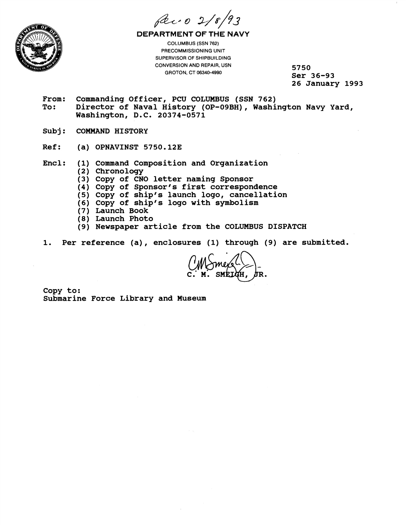



**DEPARTMENT OF THE NAVY**  COLUMBUS (SSN 762) PRECOMMlSSlONlNG UNIT

SUPERVISOR OF SHIPBUILDING CONVERSION AND REPAIR, USN GROTON, CT 06340-4990

**5750 Ser 36-93 26 January 1993** 

- From: Commanding Officer, PCU COLUMBUS (SSN 762)<br>To: Director of Naval History (OP-09BH). Washi **To: Director of Naval History (OP-09BH), Washington Navy Yard, Washington, D.C. 20374-0571**
- Subi: **COMMAND HISTORY**
- **Ref: (a) OPNAVINST 5750.123**
- **Encl: (1) Command Composition and Organization** 
	- **(2) Chronology** 
		- **(3) Copy of CNO letter naming Sponsor**
		- **(4) Copy of Sponsor's first correspondence**
		- (5) Copy of ship's launch logo, cancellation
		- **(6) Copy of ship's logo with symbolism**
		- **(7) Launch Book**
		- **(8) Launch Photo**
	- **(9 Newspaper article from the COLUMBUS DISPATCH**
- **1. Per reference (a)** , **enclosures (1) through (9) are submitted.**

**Copy to: Submarine Force Library and Museum**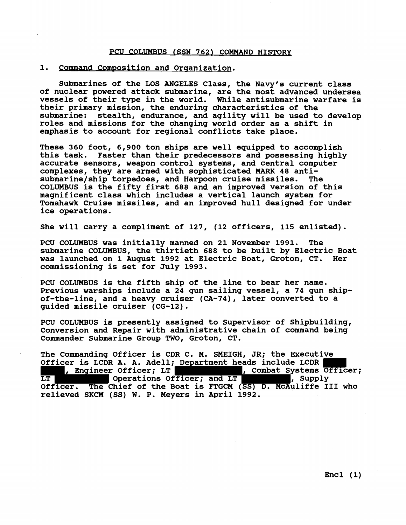### PCU COLUMBUS (SSN 762) COMMAND HISTORY

## 1. Command Composition and Organization.

**Submarines of the LOS MGELES Class, the Navy's current class of nuclear powered attack submarine, are the most advanced undersea vessels of their type in the world. While antisubmarine warfare is their primary mission, the enduring characteristics of the submarine: stealth, endurance, and agility will be used to develop roles and missions for the changing world order as a shift in emphasis to account for regional conflicts take place.** 

**These 360 foot, 6,900 ton ships are well equipped to accomplish this task. Faster than their predecessors and possessing highly accurate sensors, weapon control systems, and central computer complexes, they are armed with sophisticated MARK 48 anti**submarine/ship torpedoes, and Harpoon cruise missiles. The **COLUMBUS is the fifty first 688 and an improved version of this magnificent class which includes a vertical launch system for Tomahawk Cruise missiles, and an improved hull designed for under ice operations.** 

**She will carry a compliment of 127, (12 officers, 115 enlisted).** 

**PCU COLUMBUS was initially manned on 21 November 1991. The submarine COLUMBUS, the thirtieth 688 to be built by Electric Boat was launched on 1 August 1992 at Electric Boat, Groton, CT. Her commissioning is set for July 1993.** 

**PCU COLUMBUS is the fifth ship of the line to bear her name. Previous warships include a 24 gun sailing vessel, a 74 gun shipof-the-line, and a heavy cruiser (CA-74), later converted to a guided missile cruiser (CG-12).** 

**PCU COLUMBUS is presently assigned to Supervisor of Shipbuilding, Conversion and Repair with administrative chain of command being Commander Submarine Group TWO, Groton, CT.** 

**The Commanding Officer is CDR C. M. SMEIGH, JR; the Executive Officer is LCDR A. A. Adell; Department heads include LCDR s, Engineer Officer; LT , Combat Systems Officer; LT Operations Officer; and LT , Supply Officer. The Chief of the Boat is FTGCM (SS) D. McAuliffe I11 who relieved SKCM (SS) W. P. Meyers in April 1992.** 

**Encl (1)**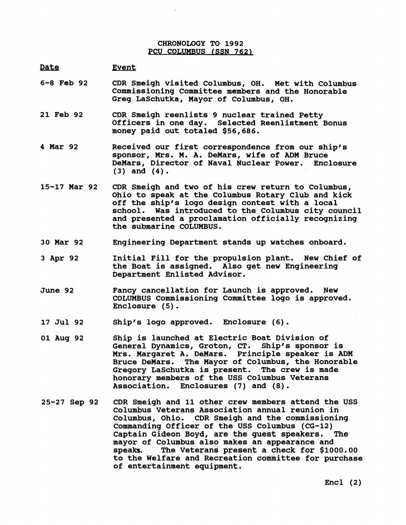# **CHRONOLOGY TO 1992**  PCU COLUMBUS (SSN 762)

#### **Date**  Event

- **6-8 Feb 92 CDR Smeigh visited Columbus, OH. Met with Columbus Commissioning Committee members and the Honorable Greg LaSchutka, Mayor of Columbus, OH.**
- **21 Feb 92 CDR Smeigh reenlists 9 nuclear trained Petty Officers in one day. Selected Reenlistment Bonus money paid out totaled \$56,686.**
- **4 Mar 92 Received our first correspondence from our ship's sponsor, Mrs. M. A. DeMars, wife of ADM Bruce DeMars, Director of Naval Nuclear Power. Enclosure (3) and (4).**
- **15-17 Mar 92 CDR Smeigh and two of his crew return to Columbus, Ohio to speak at the Columbus Rotary Club and kick off the ship's logo design contest with a local school. Was introduced to the Columbus city council and presented a proclamation officially recognizing the submarine COLUMBUS.**
- **30 Mar 92 Engineering Department stands up watches onboard.**
- **3 Apr 92 Initial Fill for the propulsion plant. New Chief of the Boat is assigned. Also get new Engineering Department Enlisted Advisor.**
- **June 92 Fancy cancellation for Launch is approved. New COLUMBUS Commissioning Committee logo is approved. Enclosure (5)** .
- **17 Jul 92 Ship's logo approved. Enclosure (6).**
- **01 Aug 92 Ship is launched at Electric Boat Division of General Dynamics, Groton, CT. Ship's sponsor is Mrs. Margaret A. DeMars. Principle speaker is ADM Bruce DeMars. The Mayor of Columbus, the Honorable Gregory LaSchutka is present. honorary members of the USS Columbus Veterans Association. Enclosures (7) and (8).**
- **25-27 Sep 92 CDR Smeigh and 11 other crew members attend the USS Columbus Veterans Association annual reunion in Columbus, Ohio. CDR Smeigh and the commissioning Commanding Officer of the USS Columbus (CG-12)**  Captain Gideon Boyd, are the guest speakers. **mayor of Columbus also makes an appearance and speaks, The Veterans present a check for \$1000.00 to the Welfare and Recreation committee for purchase of entertainment equipment.**

**Encl (2)**